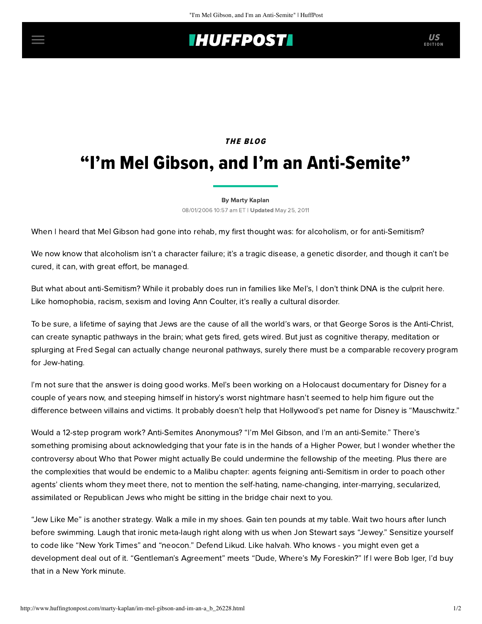## **IHUFFPOSTI** US

# THE BLOG "I'm Mel Gibson, and I'm an Anti-Semite"

#### [By Marty Kaplan](http://www.huffingtonpost.com/author/marty-kaplan)

08/01/2006 10:57 am ET | Updated May 25, 2011

When I heard that Mel Gibson had gone into rehab, my first thought was: for alcoholism, or for anti-Semitism?

We now know that alcoholism isn't a character failure; it's a tragic disease, a genetic disorder, and though it can't be cured, it can, with great effort, be managed.

But what about anti-Semitism? While it probably does run in families like Mel's, I don't think DNA is the culprit here. Like homophobia, racism, sexism and loving Ann Coulter, it's really a cultural disorder.

To be sure, a lifetime of saying that Jews are the cause of all the world's wars, or that George Soros is the Anti-Christ, can create synaptic pathways in the brain; what gets fired, gets wired. But just as cognitive therapy, meditation or splurging at Fred Segal can actually change neuronal pathways, surely there must be a comparable recovery program for Jew-hating.

I'm not sure that the answer is doing good works. MeI's been working on a Holocaust documentary for Disney for a couple of years now, and steeping himself in history's worst nightmare hasn't seemed to help him figure out the difference between villains and victims. It probably doesn't help that Hollywood's pet name for Disney is "Mauschwitz."

Would a 12-step program work? Anti-Semites Anonymous? "I'm Mel Gibson, and I'm an anti-Semite." There's something promising about acknowledging that your fate is in the hands of a Higher Power, but I wonder whether the controversy about Who that Power might actually Be could undermine the fellowship of the meeting. Plus there are the complexities that would be endemic to a Malibu chapter: agents feigning anti-Semitism in order to poach other agents' clients whom they meet there, not to mention the self-hating, name-changing, inter-marrying, secularized, assimilated or Republican Jews who might be sitting in the bridge chair next to you.

"Jew Like Me" is another strategy. Walk a mile in my shoes. Gain ten pounds at my table. Wait two hours after lunch before swimming. Laugh that ironic meta-laugh right along with us when Jon Stewart says "Jewey." Sensitize yourself to code like "New York Times" and "neocon." Defend Likud. Like halvah. Who knows - you might even get a development deal out of it. "Gentleman's Agreement" meets "Dude, Where's My Foreskin?" If I were Bob Iger, I'd buy that in a New York minute.